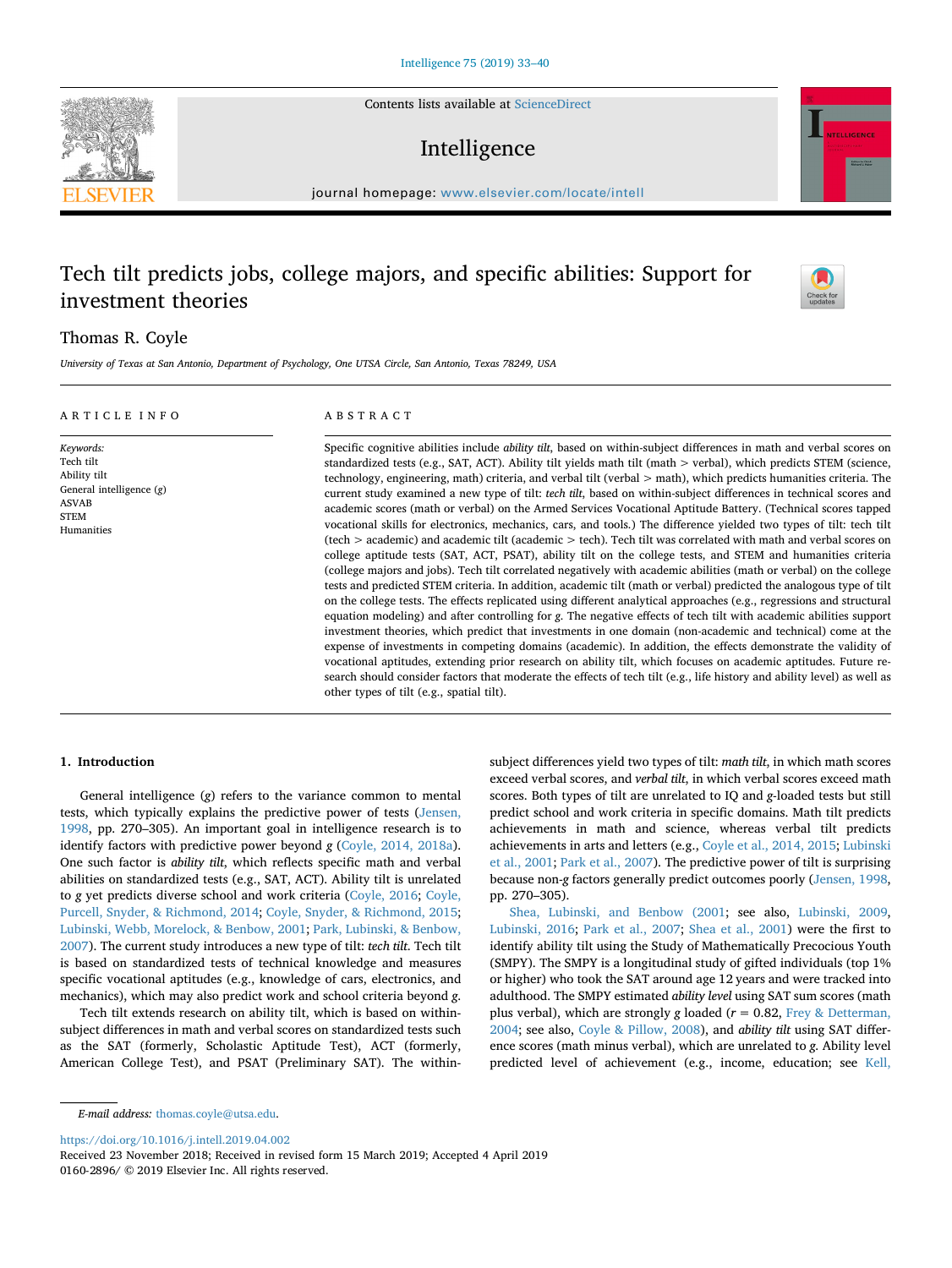Contents lists available at [ScienceDirect](http://www.sciencedirect.com/science/journal/01602896)

# Intelligence

journal homepage: [www.elsevier.com/locate/intell](https://www.elsevier.com/locate/intell)

## Tech tilt predicts jobs, college majors, and specific abilities: Support for investment theories

## Thomas R. Coyle

*Keywords:*  $T$  $\overline{A}$ 

 $\overline{A}$ S<sup>'</sup>

*University of Texas at San Antonio, Department of Psychology, One UTSA Circle, San Antonio, Texas 78249, USA*

| A R T I C L E I N F O                                                                             | ABSTRACT                                                                                                                                                                                                                                                                                                                                                                                                                                                                                                                                                                                                                                                                                                                                                                                                                                                                                                                                                                                                                                                                                                                                                                                                                                                                                                                                                                                                                                                                                                                                                                                                                                                                                                                                                                                                                                                                                                                                                                                 |
|---------------------------------------------------------------------------------------------------|------------------------------------------------------------------------------------------------------------------------------------------------------------------------------------------------------------------------------------------------------------------------------------------------------------------------------------------------------------------------------------------------------------------------------------------------------------------------------------------------------------------------------------------------------------------------------------------------------------------------------------------------------------------------------------------------------------------------------------------------------------------------------------------------------------------------------------------------------------------------------------------------------------------------------------------------------------------------------------------------------------------------------------------------------------------------------------------------------------------------------------------------------------------------------------------------------------------------------------------------------------------------------------------------------------------------------------------------------------------------------------------------------------------------------------------------------------------------------------------------------------------------------------------------------------------------------------------------------------------------------------------------------------------------------------------------------------------------------------------------------------------------------------------------------------------------------------------------------------------------------------------------------------------------------------------------------------------------------------------|
| Keywords:<br>Tech tilt<br>Ability tilt<br>General intelligence (g)<br>ASVAB<br>STEM<br>Humanities | Specific cognitive abilities include <i>ability tilt</i> , based on within-subject differences in math and verbal scores on<br>standardized tests (e.g., SAT, ACT). Ability tilt yields math tilt (math $>$ verbal), which predicts STEM (science,<br>technology, engineering, math) criteria, and verbal tilt (verbal > math), which predicts humanities criteria. The<br>current study examined a new type of tilt: tech tilt, based on within-subject differences in technical scores and<br>academic scores (math or verbal) on the Armed Services Vocational Aptitude Battery. (Technical scores tapped<br>vocational skills for electronics, mechanics, cars, and tools.) The difference yielded two types of tilt: tech tilt<br>(tech > academic) and academic tilt (academic > tech). Tech tilt was correlated with math and verbal scores on<br>college aptitude tests (SAT, ACT, PSAT), ability tilt on the college tests, and STEM and humanities criteria<br>(college majors and jobs). Tech tilt correlated negatively with academic abilities (math or verbal) on the college<br>tests and predicted STEM criteria. In addition, academic tilt (math or verbal) predicted the analogous type of tilt<br>on the college tests. The effects replicated using different analytical approaches (e.g., regressions and structural<br>equation modeling) and after controlling for g. The negative effects of tech tilt with academic abilities support<br>investment theories, which predict that investments in one domain (non-academic and technical) come at the<br>expense of investments in competing domains (academic). In addition, the effects demonstrate the validity of<br>vocational aptitudes, extending prior research on ability tilt, which focuses on academic aptitudes. Future re-<br>search should consider factors that moderate the effects of tech tilt (e.g., life history and ability level) as well as<br>other types of tilt (e.g., spatial tilt). |

## **1. Introduction**

General intelligence (*g*) refers to the variance common to mental tests, which typically explains the predictive power of tests ([Jensen,](#page-7-0) [1998,](#page-7-0) pp. 270–305). An important goal in intelligence research is to identify factors with predictive power beyond *g* ([Coyle, 2014, 2018a](#page-7-1)). One such factor is *ability tilt*, which reflects specific math and verbal abilities on standardized tests (e.g., SAT, ACT). Ability tilt is unrelated to *g* yet predicts diverse school and work criteria ([Coyle, 2016;](#page-7-2) [Coyle,](#page-7-3) [Purcell, Snyder, & Richmond, 2014](#page-7-3); [Coyle, Snyder, & Richmond, 2015](#page-7-4); [Lubinski, Webb, Morelock, & Benbow, 2001;](#page-7-5) [Park, Lubinski, & Benbow,](#page-7-6) [2007\)](#page-7-6). The current study introduces a new type of tilt: *tech tilt*. Tech tilt is based on standardized tests of technical knowledge and measures specific vocational aptitudes (e.g., knowledge of cars, electronics, and mechanics), which may also predict work and school criteria beyond *g*.

Tech tilt extends research on ability tilt, which is based on withinsubject differences in math and verbal scores on standardized tests such as the SAT (formerly, Scholastic Aptitude Test), ACT (formerly, American College Test), and PSAT (Preliminary SAT). The withinsubject differences yield two types of tilt: *math tilt*, in which math scores exceed verbal scores, and *verbal tilt*, in which verbal scores exceed math scores. Both types of tilt are unrelated to IQ and *g*-loaded tests but still predict school and work criteria in specific domains. Math tilt predicts achievements in math and science, whereas verbal tilt predicts achievements in arts and letters (e.g., [Coyle et al., 2014, 2015](#page-7-3); [Lubinski](#page-7-5) [et al., 2001](#page-7-5); [Park et al., 2007\)](#page-7-6). The predictive power of tilt is surprising because non-*g* factors generally predict outcomes poorly [\(Jensen, 1998](#page-7-0), pp. 270–305).

[Shea, Lubinski, and Benbow \(2001](#page-7-7); see also, [Lubinski, 2009](#page-7-8), [Lubinski, 2016;](#page-7-9) [Park et al., 2007](#page-7-6); [Shea et al., 2001\)](#page-7-7) were the first to identify ability tilt using the Study of Mathematically Precocious Youth (SMPY). The SMPY is a longitudinal study of gifted individuals (top 1% or higher) who took the SAT around age 12 years and were tracked into adulthood. The SMPY estimated *ability level* using SAT sum scores (math plus verbal), which are strongly *g* loaded (*r* = 0.82, [Frey & Detterman,](#page-7-10) [2004;](#page-7-10) see also, [Coyle & Pillow, 2008](#page-7-11)), and *ability tilt* using SAT difference scores (math minus verbal), which are unrelated to *g*. Ability level predicted level of achievement (e.g., income, education; see [Kell,](#page-7-12)

## *E-mail address:* [thomas.coyle@utsa.edu.](mailto:thomas.coyle@utsa.edu)

<https://doi.org/10.1016/j.intell.2019.04.002>

Received 23 November 2018; Received in revised form 15 March 2019; Accepted 4 April 2019 0160-2896/ © 2019 Elsevier Inc. All rights reserved.





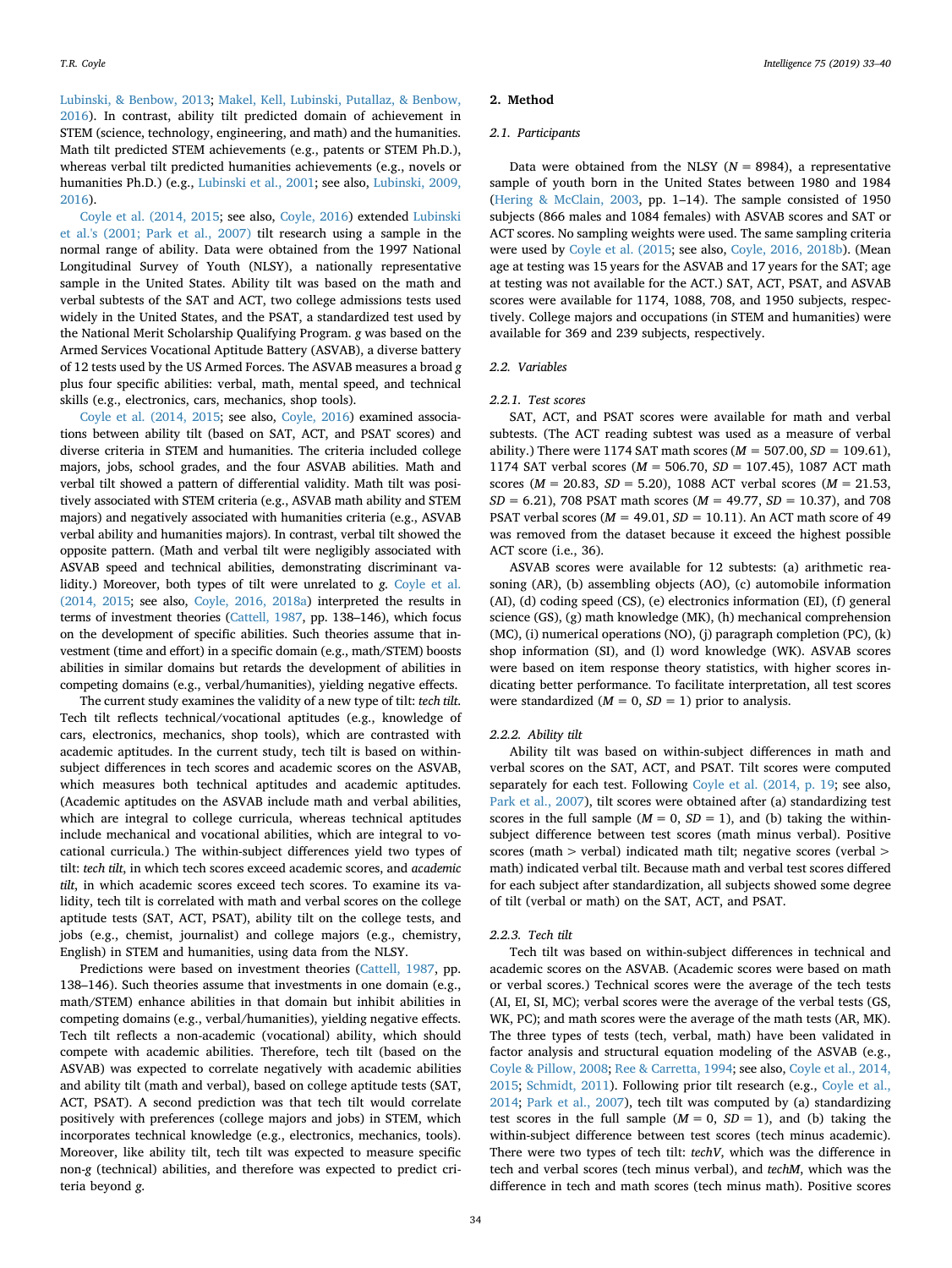[Lubinski, & Benbow, 2013;](#page-7-12) [Makel, Kell, Lubinski, Putallaz, & Benbow,](#page-7-13) [2016\)](#page-7-13). In contrast, ability tilt predicted domain of achievement in STEM (science, technology, engineering, and math) and the humanities. Math tilt predicted STEM achievements (e.g., patents or STEM Ph.D.), whereas verbal tilt predicted humanities achievements (e.g., novels or humanities Ph.D.) (e.g., [Lubinski et al., 2001;](#page-7-5) see also, [Lubinski, 2009,](#page-7-8) [2016\)](#page-7-8).

[Coyle et al. \(2014, 2015](#page-7-3); see also, [Coyle, 2016](#page-7-2)) extended [Lubinski](#page-7-5) [et al.'s \(2001; Park et al., 2007\)](#page-7-5) tilt research using a sample in the normal range of ability. Data were obtained from the 1997 National Longitudinal Survey of Youth (NLSY), a nationally representative sample in the United States. Ability tilt was based on the math and verbal subtests of the SAT and ACT, two college admissions tests used widely in the United States, and the PSAT, a standardized test used by the National Merit Scholarship Qualifying Program. *g* was based on the Armed Services Vocational Aptitude Battery (ASVAB), a diverse battery of 12 tests used by the US Armed Forces. The ASVAB measures a broad *g* plus four specific abilities: verbal, math, mental speed, and technical skills (e.g., electronics, cars, mechanics, shop tools).

[Coyle et al. \(2014, 2015;](#page-7-3) see also, [Coyle, 2016\)](#page-7-2) examined associations between ability tilt (based on SAT, ACT, and PSAT scores) and diverse criteria in STEM and humanities. The criteria included college majors, jobs, school grades, and the four ASVAB abilities. Math and verbal tilt showed a pattern of differential validity. Math tilt was positively associated with STEM criteria (e.g., ASVAB math ability and STEM majors) and negatively associated with humanities criteria (e.g., ASVAB verbal ability and humanities majors). In contrast, verbal tilt showed the opposite pattern. (Math and verbal tilt were negligibly associated with ASVAB speed and technical abilities, demonstrating discriminant validity.) Moreover, both types of tilt were unrelated to *g*. [Coyle et al.](#page-7-3) [\(2014, 2015;](#page-7-3) see also, [Coyle, 2016, 2018a](#page-7-2)) interpreted the results in terms of investment theories [\(Cattell, 1987](#page-7-14), pp. 138–146), which focus on the development of specific abilities. Such theories assume that investment (time and effort) in a specific domain (e.g., math/STEM) boosts abilities in similar domains but retards the development of abilities in competing domains (e.g., verbal/humanities), yielding negative effects.

The current study examines the validity of a new type of tilt: *tech tilt*. Tech tilt reflects technical/vocational aptitudes (e.g., knowledge of cars, electronics, mechanics, shop tools), which are contrasted with academic aptitudes. In the current study, tech tilt is based on withinsubject differences in tech scores and academic scores on the ASVAB, which measures both technical aptitudes and academic aptitudes. (Academic aptitudes on the ASVAB include math and verbal abilities, which are integral to college curricula, whereas technical aptitudes include mechanical and vocational abilities, which are integral to vocational curricula.) The within-subject differences yield two types of tilt: *tech tilt*, in which tech scores exceed academic scores, and *academic tilt*, in which academic scores exceed tech scores. To examine its validity, tech tilt is correlated with math and verbal scores on the college aptitude tests (SAT, ACT, PSAT), ability tilt on the college tests, and jobs (e.g., chemist, journalist) and college majors (e.g., chemistry, English) in STEM and humanities, using data from the NLSY.

Predictions were based on investment theories [\(Cattell, 1987,](#page-7-14) pp. 138–146). Such theories assume that investments in one domain (e.g., math/STEM) enhance abilities in that domain but inhibit abilities in competing domains (e.g., verbal/humanities), yielding negative effects. Tech tilt reflects a non-academic (vocational) ability, which should compete with academic abilities. Therefore, tech tilt (based on the ASVAB) was expected to correlate negatively with academic abilities and ability tilt (math and verbal), based on college aptitude tests (SAT, ACT, PSAT). A second prediction was that tech tilt would correlate positively with preferences (college majors and jobs) in STEM, which incorporates technical knowledge (e.g., electronics, mechanics, tools). Moreover, like ability tilt, tech tilt was expected to measure specific non-*g* (technical) abilities, and therefore was expected to predict criteria beyond *g*.

### **2. Method**

#### *2.1. Participants*

Data were obtained from the NLSY  $(N = 8984)$ , a representative sample of youth born in the United States between 1980 and 1984 ([Hering & McClain, 2003,](#page-7-15) pp. 1–14). The sample consisted of 1950 subjects (866 males and 1084 females) with ASVAB scores and SAT or ACT scores. No sampling weights were used. The same sampling criteria were used by [Coyle et al. \(2015](#page-7-4); see also, [Coyle, 2016, 2018b](#page-7-2)). (Mean age at testing was 15 years for the ASVAB and 17 years for the SAT; age at testing was not available for the ACT.) SAT, ACT, PSAT, and ASVAB scores were available for 1174, 1088, 708, and 1950 subjects, respectively. College majors and occupations (in STEM and humanities) were available for 369 and 239 subjects, respectively.

## *2.2. Variables*

#### *2.2.1. Test scores*

SAT, ACT, and PSAT scores were available for math and verbal subtests. (The ACT reading subtest was used as a measure of verbal ability.) There were 1174 SAT math scores  $(M = 507.00, SD = 109.61)$ , 1174 SAT verbal scores (*M* = 506.70, *SD* = 107.45), 1087 ACT math scores (*M* = 20.83, *SD* = 5.20), 1088 ACT verbal scores (*M* = 21.53, *SD* = 6.21), 708 PSAT math scores (*M* = 49.77, *SD* = 10.37), and 708 PSAT verbal scores ( $M = 49.01$ ,  $SD = 10.11$ ). An ACT math score of 49 was removed from the dataset because it exceed the highest possible ACT score (i.e., 36).

ASVAB scores were available for 12 subtests: (a) arithmetic reasoning (AR), (b) assembling objects (AO), (c) automobile information (AI), (d) coding speed (CS), (e) electronics information (EI), (f) general science (GS), (g) math knowledge (MK), (h) mechanical comprehension (MC), (i) numerical operations (NO), (j) paragraph completion (PC), (k) shop information (SI), and (l) word knowledge (WK). ASVAB scores were based on item response theory statistics, with higher scores indicating better performance. To facilitate interpretation, all test scores were standardized  $(M = 0, SD = 1)$  prior to analysis.

### *2.2.2. Ability tilt*

Ability tilt was based on within-subject differences in math and verbal scores on the SAT, ACT, and PSAT. Tilt scores were computed separately for each test. Following [Coyle et al. \(2014, p. 19](#page-7-3); see also, [Park et al., 2007\)](#page-7-6), tilt scores were obtained after (a) standardizing test scores in the full sample  $(M = 0, SD = 1)$ , and (b) taking the withinsubject difference between test scores (math minus verbal). Positive scores (math > verbal) indicated math tilt; negative scores (verbal > math) indicated verbal tilt. Because math and verbal test scores differed for each subject after standardization, all subjects showed some degree of tilt (verbal or math) on the SAT, ACT, and PSAT.

#### *2.2.3. Tech tilt*

Tech tilt was based on within-subject differences in technical and academic scores on the ASVAB. (Academic scores were based on math or verbal scores.) Technical scores were the average of the tech tests (AI, EI, SI, MC); verbal scores were the average of the verbal tests (GS, WK, PC); and math scores were the average of the math tests (AR, MK). The three types of tests (tech, verbal, math) have been validated in factor analysis and structural equation modeling of the ASVAB (e.g., [Coyle & Pillow, 2008;](#page-7-11) [Ree & Carretta, 1994](#page-7-16); see also, [Coyle et al., 2014,](#page-7-3) [2015;](#page-7-3) [Schmidt, 2011\)](#page-7-17). Following prior tilt research (e.g., [Coyle et al.,](#page-7-3) [2014;](#page-7-3) [Park et al., 2007\)](#page-7-6), tech tilt was computed by (a) standardizing test scores in the full sample  $(M = 0, SD = 1)$ , and (b) taking the within-subject difference between test scores (tech minus academic). There were two types of tech tilt: *techV*, which was the difference in tech and verbal scores (tech minus verbal), and *techM*, which was the difference in tech and math scores (tech minus math). Positive scores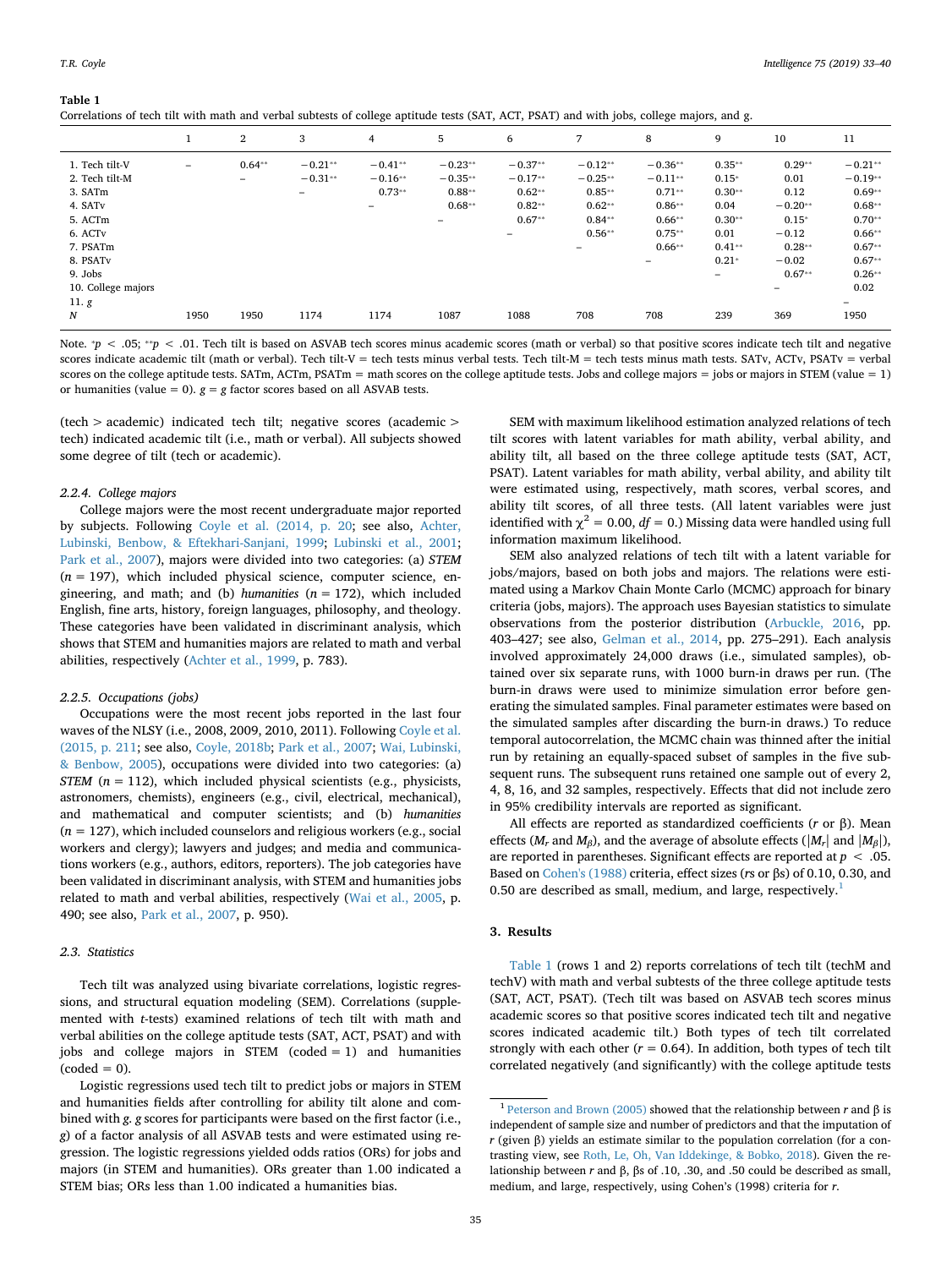<span id="page-2-1"></span>**Table 1**

| Correlations of tech tilt with math and verbal subtests of college aptitude tests (SAT, ACT, PSAT) and with jobs, college majors, and g. |  |  |  |  |
|------------------------------------------------------------------------------------------------------------------------------------------|--|--|--|--|
|------------------------------------------------------------------------------------------------------------------------------------------|--|--|--|--|

|                     |      | $\mathbf{2}$ | 3         | 4         | 5         | 6                        | 7         | 8                        | 9                        | 10                       | 11        |
|---------------------|------|--------------|-----------|-----------|-----------|--------------------------|-----------|--------------------------|--------------------------|--------------------------|-----------|
| 1. Tech tilt-V      | -    | $0.64**$     | $-0.21**$ | $-0.41**$ | $-0.23**$ | $-0.37**$                | $-0.12**$ | $-0.36**$                | $0.35**$                 | $0.29**$                 | $-0.21**$ |
| 2. Tech tilt-M      |      | $-$          | $-0.31**$ | $-0.16**$ | $-0.35**$ | $-0.17**$                | $-0.25**$ | $-0.11**$                | $0.15*$                  | 0.01                     | $-0.19**$ |
| 3. SATm             |      |              | -         | $0.73**$  | $0.88**$  | $0.62**$                 | $0.85**$  | $0.71**$                 | $0.30**$                 | 0.12                     | $0.69**$  |
| 4. SAT <sub>v</sub> |      |              |           | -         | $0.68**$  | $0.82**$                 | $0.62**$  | $0.86**$                 | 0.04                     | $-0.20**$                | $0.68**$  |
| 5. ACTm             |      |              |           |           | -         | $0.67**$                 | $0.84**$  | $0.66**$                 | $0.30**$                 | $0.15*$                  | $0.70**$  |
| 6. ACTv             |      |              |           |           |           | $\overline{\phantom{a}}$ | $0.56**$  | $0.75**$                 | 0.01                     | $-0.12$                  | $0.66**$  |
| 7. PSATm            |      |              |           |           |           |                          | -         | $0.66**$                 | $0.41**$                 | $0.28**$                 | $0.67**$  |
| 8. PSATv            |      |              |           |           |           |                          |           | $\overline{\phantom{a}}$ | $0.21*$                  | $-0.02$                  | $0.67**$  |
| 9. Jobs             |      |              |           |           |           |                          |           |                          | $\overline{\phantom{a}}$ | $0.67**$                 | $0.26**$  |
| 10. College majors  |      |              |           |           |           |                          |           |                          |                          | $\overline{\phantom{0}}$ | 0.02      |
| 11. g               |      |              |           |           |           |                          |           |                          |                          |                          | -         |
| $\boldsymbol{N}$    | 1950 | 1950         | 1174      | 1174      | 1087      | 1088                     | 708       | 708                      | 239                      | 369                      | 1950      |

Note.  $p$  < .05;  $\sqrt{p}$  < .01. Tech tilt is based on ASVAB tech scores minus academic scores (math or verbal) so that positive scores indicate tech tilt and negative scores indicate academic tilt (math or verbal). Tech tilt-V = tech tests minus verbal tests. Tech tilt-M = tech tests minus math tests. SATv, ACTv, PSATv = verbal scores on the college aptitude tests. SATm, ACTm, PSATm = math scores on the college aptitude tests. Jobs and college majors = jobs or majors in STEM (value = 1) or humanities (value = 0).  $g = g$  factor scores based on all ASVAB tests.

(tech > academic) indicated tech tilt; negative scores (academic > tech) indicated academic tilt (i.e., math or verbal). All subjects showed some degree of tilt (tech or academic).

## *2.2.4. College majors*

College majors were the most recent undergraduate major reported by subjects. Following [Coyle et al. \(2014, p. 20;](#page-7-3) see also, [Achter,](#page-7-18) [Lubinski, Benbow, & Eftekhari-Sanjani, 1999;](#page-7-18) [Lubinski et al., 2001](#page-7-5); [Park et al., 2007\)](#page-7-6), majors were divided into two categories: (a) *STEM*  $(n = 197)$ , which included physical science, computer science, engineering, and math; and (b) *humanities* (*n* = 172), which included English, fine arts, history, foreign languages, philosophy, and theology. These categories have been validated in discriminant analysis, which shows that STEM and humanities majors are related to math and verbal abilities, respectively [\(Achter et al., 1999,](#page-7-18) p. 783).

### *2.2.5. Occupations (jobs)*

Occupations were the most recent jobs reported in the last four waves of the NLSY (i.e., 2008, 2009, 2010, 2011). Following [Coyle et al.](#page-7-4) [\(2015, p. 211;](#page-7-4) see also, [Coyle, 2018b;](#page-7-19) [Park et al., 2007](#page-7-6); [Wai, Lubinski,](#page-7-20) [& Benbow, 2005\)](#page-7-20), occupations were divided into two categories: (a) *STEM* ( $n = 112$ ), which included physical scientists (e.g., physicists, astronomers, chemists), engineers (e.g., civil, electrical, mechanical), and mathematical and computer scientists; and (b) *humanities* (*n* = 127), which included counselors and religious workers (e.g., social workers and clergy); lawyers and judges; and media and communications workers (e.g., authors, editors, reporters). The job categories have been validated in discriminant analysis, with STEM and humanities jobs related to math and verbal abilities, respectively [\(Wai et al., 2005,](#page-7-20) p. 490; see also, [Park et al., 2007,](#page-7-6) p. 950).

## *2.3. Statistics*

Tech tilt was analyzed using bivariate correlations, logistic regressions, and structural equation modeling (SEM). Correlations (supplemented with *t*-tests) examined relations of tech tilt with math and verbal abilities on the college aptitude tests (SAT, ACT, PSAT) and with jobs and college majors in STEM (coded  $= 1$ ) and humanities  $(coded = 0)$ .

Logistic regressions used tech tilt to predict jobs or majors in STEM and humanities fields after controlling for ability tilt alone and combined with *g*. *g* scores for participants were based on the first factor (i.e., *g*) of a factor analysis of all ASVAB tests and were estimated using regression. The logistic regressions yielded odds ratios (ORs) for jobs and majors (in STEM and humanities). ORs greater than 1.00 indicated a STEM bias; ORs less than 1.00 indicated a humanities bias.

SEM with maximum likelihood estimation analyzed relations of tech tilt scores with latent variables for math ability, verbal ability, and ability tilt, all based on the three college aptitude tests (SAT, ACT, PSAT). Latent variables for math ability, verbal ability, and ability tilt were estimated using, respectively, math scores, verbal scores, and ability tilt scores, of all three tests. (All latent variables were just identified with  $\chi^2$  = 0.00, *df* = 0.) Missing data were handled using full information maximum likelihood.

SEM also analyzed relations of tech tilt with a latent variable for jobs/majors, based on both jobs and majors. The relations were estimated using a Markov Chain Monte Carlo (MCMC) approach for binary criteria (jobs, majors). The approach uses Bayesian statistics to simulate observations from the posterior distribution ([Arbuckle, 2016,](#page-7-21) pp. 403–427; see also, [Gelman et al., 2014,](#page-7-22) pp. 275–291). Each analysis involved approximately 24,000 draws (i.e., simulated samples), obtained over six separate runs, with 1000 burn-in draws per run. (The burn-in draws were used to minimize simulation error before generating the simulated samples. Final parameter estimates were based on the simulated samples after discarding the burn-in draws.) To reduce temporal autocorrelation, the MCMC chain was thinned after the initial run by retaining an equally-spaced subset of samples in the five subsequent runs. The subsequent runs retained one sample out of every 2, 4, 8, 16, and 32 samples, respectively. Effects that did not include zero in 95% credibility intervals are reported as significant.

All effects are reported as standardized coefficients (*r* or β). Mean effects ( $M_r$  and  $M_\beta$ ), and the average of absolute effects ( $|M_r|$  and  $|M_\beta|$ ), are reported in parentheses. Significant effects are reported at *p* < .05. Based on [Cohen's \(1988\)](#page-7-23) criteria, effect sizes (*r*s or βs) of 0.10, 0.30, and 0.50 are described as small, medium, and large, respectively. $<sup>1</sup>$  $<sup>1</sup>$  $<sup>1</sup>$ </sup>

## **3. Results**

[Table 1](#page-2-1) (rows 1 and 2) reports correlations of tech tilt (techM and techV) with math and verbal subtests of the three college aptitude tests (SAT, ACT, PSAT). (Tech tilt was based on ASVAB tech scores minus academic scores so that positive scores indicated tech tilt and negative scores indicated academic tilt.) Both types of tech tilt correlated strongly with each other  $(r = 0.64)$ . In addition, both types of tech tilt correlated negatively (and significantly) with the college aptitude tests

<span id="page-2-0"></span><sup>1</sup> [Peterson and Brown \(2005\)](#page-7-24) showed that the relationship between *r* and β is independent of sample size and number of predictors and that the imputation of *r* (given β) yields an estimate similar to the population correlation (for a contrasting view, see [Roth, Le, Oh, Van Iddekinge, & Bobko, 2018\)](#page-7-25). Given the relationship between *r* and β, βs of .10, .30, and .50 could be described as small, medium, and large, respectively, using Cohen's (1998) criteria for *r*.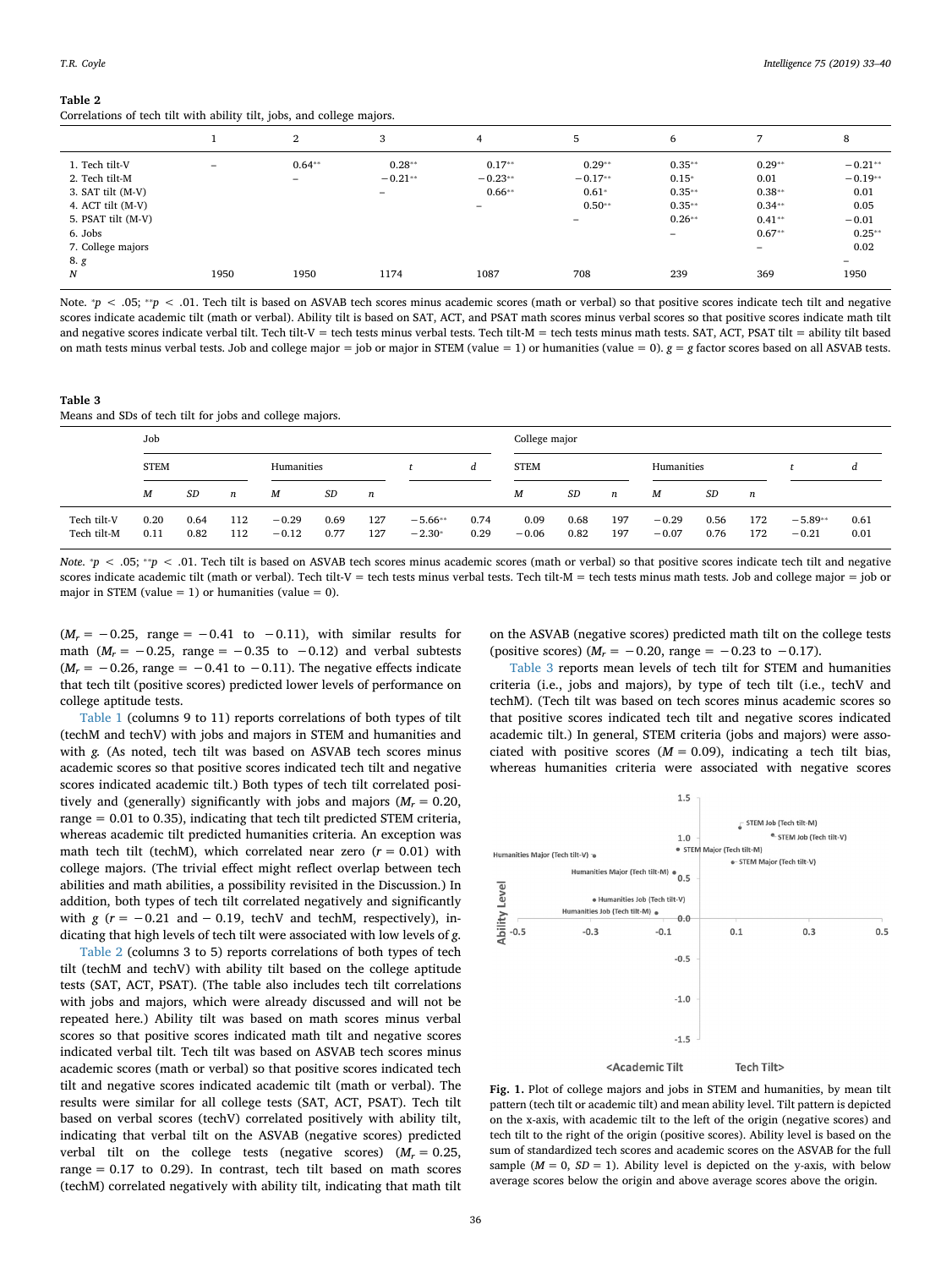#### <span id="page-3-0"></span>**Table 2**

Correlations of tech tilt with ability tilt, jobs, and college majors.

|                                                                                                                                  |                          | $\overline{2}$                       | 3                          | 4                                      | 5                                                                        | 6                                                            | $\overline{ }$                                                        | 8                                                                     |
|----------------------------------------------------------------------------------------------------------------------------------|--------------------------|--------------------------------------|----------------------------|----------------------------------------|--------------------------------------------------------------------------|--------------------------------------------------------------|-----------------------------------------------------------------------|-----------------------------------------------------------------------|
| 1. Tech tilt-V<br>2. Tech tilt-M<br>3. SAT tilt (M-V)<br>4. ACT tilt (M-V)<br>5. PSAT tilt (M-V)<br>6. Jobs<br>7. College majors | $\overline{\phantom{0}}$ | $0.64**$<br>$\overline{\phantom{0}}$ | $0.28**$<br>$-0.21**$<br>- | $0.17**$<br>$-0.23**$<br>$0.66**$<br>- | $0.29**$<br>$-0.17**$<br>$0.61*$<br>$0.50**$<br>$\overline{\phantom{m}}$ | $0.35**$<br>$0.15*$<br>$0.35**$<br>$0.35**$<br>$0.26**$<br>- | $0.29**$<br>0.01<br>$0.38**$<br>$0.34**$<br>$0.41**$<br>$0.67**$<br>- | $-0.21**$<br>$-0.19**$<br>0.01<br>0.05<br>$-0.01$<br>$0.25**$<br>0.02 |
| 8. g<br>Ν                                                                                                                        | 1950                     | 1950                                 | 1174                       | 1087                                   | 708                                                                      | 239                                                          | 369                                                                   | -<br>1950                                                             |

Note.  $p$  < .05;  $p$  < .01. Tech tilt is based on ASVAB tech scores minus academic scores (math or verbal) so that positive scores indicate tech tilt and negative scores indicate academic tilt (math or verbal). Ability tilt is based on SAT, ACT, and PSAT math scores minus verbal scores so that positive scores indicate math tilt and negative scores indicate verbal tilt. Tech tilt-V = tech tests minus verbal tests. Tech tilt-M = tech tests minus math tests. SAT, ACT, PSAT tilt = ability tilt based on math tests minus verbal tests. Job and college major = job or major in STEM (value = 1) or humanities (value = 0).  $g = g$  factor scores based on all ASVAB tests.

#### <span id="page-3-1"></span>**Table 3**

Means and SDs of tech tilt for jobs and college majors.

|                            | Job          |              |            |                    |              |            |                       | College major |                 |              |                  |                    |              |                  |                      |              |
|----------------------------|--------------|--------------|------------|--------------------|--------------|------------|-----------------------|---------------|-----------------|--------------|------------------|--------------------|--------------|------------------|----------------------|--------------|
|                            | <b>STEM</b>  |              |            | Humanities         |              |            |                       | d             | <b>STEM</b>     |              |                  | Humanities         |              |                  |                      | d            |
|                            | M            | SD           | n          | М                  | SD           | n          |                       |               | M               | SD           | $\boldsymbol{n}$ | M                  | SD           | $\boldsymbol{n}$ |                      |              |
| Tech tilt-V<br>Tech tilt-M | 0.20<br>0.11 | 0.64<br>0.82 | 112<br>112 | $-0.29$<br>$-0.12$ | 0.69<br>0.77 | 127<br>127 | $-5.66**$<br>$-2.30*$ | 0.74<br>0.29  | 0.09<br>$-0.06$ | 0.68<br>0.82 | 197<br>197       | $-0.29$<br>$-0.07$ | 0.56<br>0.76 | 172<br>172       | $-5.89**$<br>$-0.21$ | 0.61<br>0.01 |

*Note.*  $p$  < .05;  $^{*}p$  < .01. Tech tilt is based on ASVAB tech scores minus academic scores (math or verbal) so that positive scores indicate tech tilt and negative scores indicate academic tilt (math or verbal). Tech tilt-V = tech tests minus verbal tests. Tech tilt-M = tech tests minus math tests. Job and college major = job or major in STEM (value  $= 1$ ) or humanities (value  $= 0$ ).

 $(M_r = -0.25$ , range =  $-0.41$  to  $-0.11$ ), with similar results for math ( $M_r = -0.25$ , range =  $-0.35$  to  $-0.12$ ) and verbal subtests  $(M_r = -0.26$ , range =  $-0.41$  to  $-0.11$ ). The negative effects indicate that tech tilt (positive scores) predicted lower levels of performance on college aptitude tests.

[Table 1](#page-2-1) (columns 9 to 11) reports correlations of both types of tilt (techM and techV) with jobs and majors in STEM and humanities and with *g.* (As noted, tech tilt was based on ASVAB tech scores minus academic scores so that positive scores indicated tech tilt and negative scores indicated academic tilt.) Both types of tech tilt correlated positively and (generally) significantly with jobs and majors  $(M_r = 0.20,$ range = 0.01 to 0.35), indicating that tech tilt predicted STEM criteria, whereas academic tilt predicted humanities criteria. An exception was math tech tilt (techM), which correlated near zero  $(r = 0.01)$  with college majors. (The trivial effect might reflect overlap between tech abilities and math abilities, a possibility revisited in the Discussion.) In addition, both types of tech tilt correlated negatively and significantly with  $g(r = -0.21$  and  $-0.19$ , techV and techM, respectively), indicating that high levels of tech tilt were associated with low levels of *g*.

[Table 2](#page-3-0) (columns 3 to 5) reports correlations of both types of tech tilt (techM and techV) with ability tilt based on the college aptitude tests (SAT, ACT, PSAT). (The table also includes tech tilt correlations with jobs and majors, which were already discussed and will not be repeated here.) Ability tilt was based on math scores minus verbal scores so that positive scores indicated math tilt and negative scores indicated verbal tilt. Tech tilt was based on ASVAB tech scores minus academic scores (math or verbal) so that positive scores indicated tech tilt and negative scores indicated academic tilt (math or verbal). The results were similar for all college tests (SAT, ACT, PSAT). Tech tilt based on verbal scores (techV) correlated positively with ability tilt, indicating that verbal tilt on the ASVAB (negative scores) predicted verbal tilt on the college tests (negative scores)  $(M_r = 0.25,$ range  $= 0.17$  to 0.29). In contrast, tech tilt based on math scores (techM) correlated negatively with ability tilt, indicating that math tilt on the ASVAB (negative scores) predicted math tilt on the college tests (positive scores)  $(M_r = -0.20, \text{ range} = -0.23 \text{ to } -0.17)$ .

[Table 3](#page-3-1) reports mean levels of tech tilt for STEM and humanities criteria (i.e., jobs and majors), by type of tech tilt (i.e., techV and techM). (Tech tilt was based on tech scores minus academic scores so that positive scores indicated tech tilt and negative scores indicated academic tilt.) In general, STEM criteria (jobs and majors) were associated with positive scores  $(M = 0.09)$ , indicating a tech tilt bias, whereas humanities criteria were associated with negative scores

<span id="page-3-2"></span>

**Fig. 1.** Plot of college majors and jobs in STEM and humanities, by mean tilt pattern (tech tilt or academic tilt) and mean ability level. Tilt pattern is depicted on the x-axis, with academic tilt to the left of the origin (negative scores) and tech tilt to the right of the origin (positive scores). Ability level is based on the sum of standardized tech scores and academic scores on the ASVAB for the full sample  $(M = 0, SD = 1)$ . Ability level is depicted on the y-axis, with below average scores below the origin and above average scores above the origin.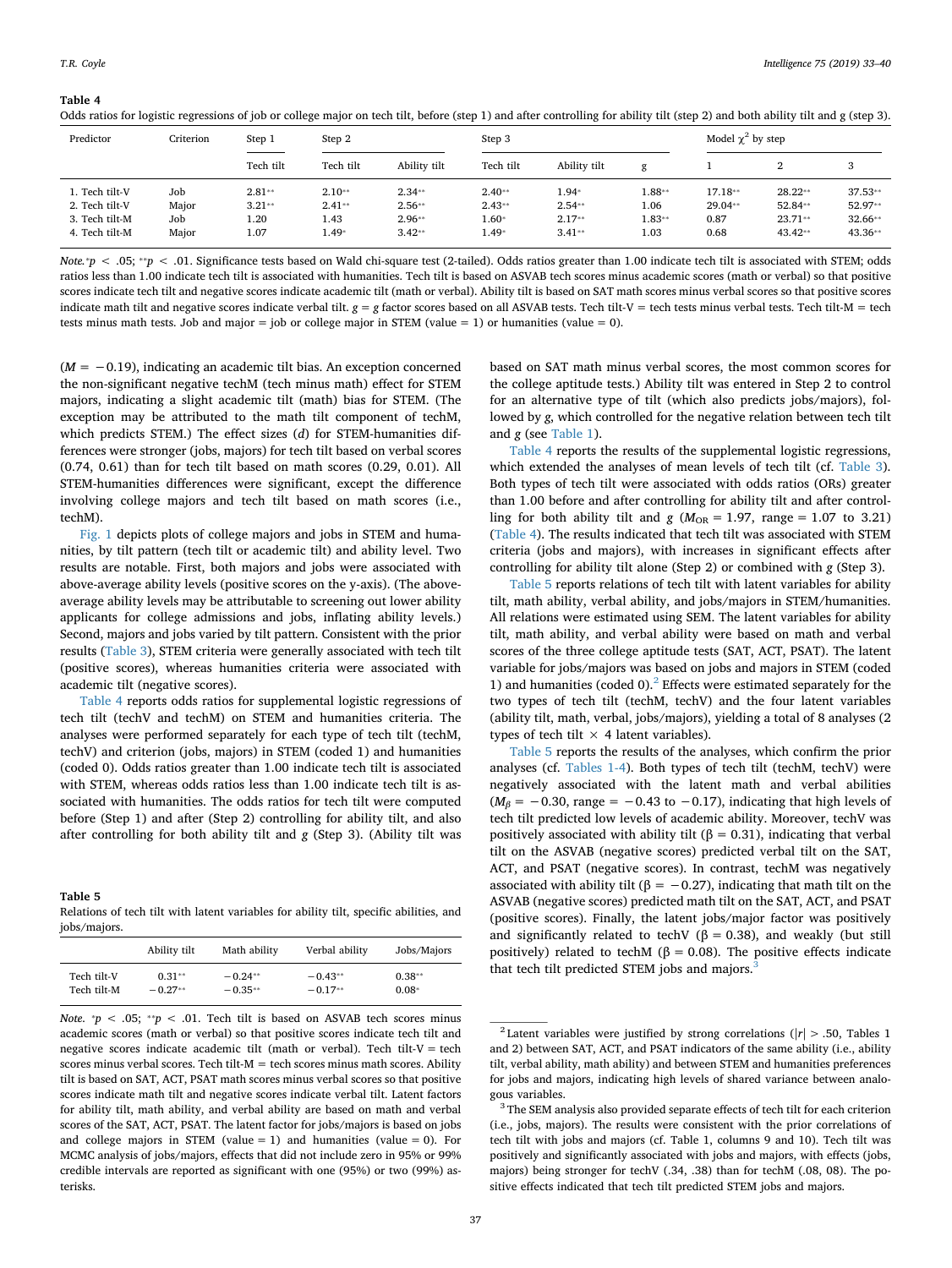<span id="page-4-0"></span>**Table 4**

| Odds ratios for logistic regressions of job or college major on tech tilt, before (step 1) and after controlling for ability tilt (step 2) and both ability tilt and g (step 3). |  |  |  |  |
|----------------------------------------------------------------------------------------------------------------------------------------------------------------------------------|--|--|--|--|
|----------------------------------------------------------------------------------------------------------------------------------------------------------------------------------|--|--|--|--|

| Predictor                                                            | Criterion                    | Step 1                               | Model $\chi^2$ by step<br>Step 2<br>Step 3 |                                              |                                           |                                             |                                      |                                    |                                              |                                              |
|----------------------------------------------------------------------|------------------------------|--------------------------------------|--------------------------------------------|----------------------------------------------|-------------------------------------------|---------------------------------------------|--------------------------------------|------------------------------------|----------------------------------------------|----------------------------------------------|
|                                                                      |                              | Tech tilt                            | Tech tilt                                  | Ability tilt                                 | Tech tilt                                 | Ability tilt                                | $\sigma$<br>ິ                        |                                    |                                              |                                              |
| 1. Tech tilt-V<br>2. Tech tilt-V<br>3. Tech tilt-M<br>4. Tech tilt-M | Job<br>Major<br>Job<br>Major | $2.81**$<br>$3.21**$<br>1.20<br>1.07 | $2.10**$<br>$2.41**$<br>1.43<br>$1.49*$    | $2.34**$<br>$2.56**$<br>$2.96**$<br>$3.42**$ | $2.40**$<br>$2.43**$<br>$1.60*$<br>$.49*$ | $1.94*$<br>$2.54**$<br>$2.17**$<br>$3.41**$ | $1.88**$<br>1.06<br>$1.83**$<br>1.03 | 17.18**<br>29.04**<br>0.87<br>0.68 | $28.22**$<br>52.84**<br>$23.71**$<br>43.42** | $37.53**$<br>52.97**<br>$32.66**$<br>43.36** |

*Note.\*p* < .05; \*\*p < .01. Significance tests based on Wald chi-square test (2-tailed). Odds ratios greater than 1.00 indicate tech tilt is associated with STEM; odds ratios less than 1.00 indicate tech tilt is associated with humanities. Tech tilt is based on ASVAB tech scores minus academic scores (math or verbal) so that positive scores indicate tech tilt and negative scores indicate academic tilt (math or verbal). Ability tilt is based on SAT math scores minus verbal scores so that positive scores indicate math tilt and negative scores indicate verbal tilt. *g* = *g* factor scores based on all ASVAB tests. Tech tilt-V = tech tests minus verbal tests. Tech tilt-M = tech tests minus math tests. Job and major = job or college major in STEM (value = 1) or humanities (value = 0).

(*M* = −0.19), indicating an academic tilt bias. An exception concerned the non-significant negative techM (tech minus math) effect for STEM majors, indicating a slight academic tilt (math) bias for STEM. (The exception may be attributed to the math tilt component of techM, which predicts STEM.) The effect sizes (*d*) for STEM-humanities differences were stronger (jobs, majors) for tech tilt based on verbal scores (0.74, 0.61) than for tech tilt based on math scores (0.29, 0.01). All STEM-humanities differences were significant, except the difference involving college majors and tech tilt based on math scores (i.e., techM).

[Fig. 1](#page-3-2) depicts plots of college majors and jobs in STEM and humanities, by tilt pattern (tech tilt or academic tilt) and ability level. Two results are notable. First, both majors and jobs were associated with above-average ability levels (positive scores on the y-axis). (The aboveaverage ability levels may be attributable to screening out lower ability applicants for college admissions and jobs, inflating ability levels.) Second, majors and jobs varied by tilt pattern. Consistent with the prior results ([Table 3](#page-3-1)), STEM criteria were generally associated with tech tilt (positive scores), whereas humanities criteria were associated with academic tilt (negative scores).

[Table 4](#page-4-0) reports odds ratios for supplemental logistic regressions of tech tilt (techV and techM) on STEM and humanities criteria. The analyses were performed separately for each type of tech tilt (techM, techV) and criterion (jobs, majors) in STEM (coded 1) and humanities (coded 0). Odds ratios greater than 1.00 indicate tech tilt is associated with STEM, whereas odds ratios less than 1.00 indicate tech tilt is associated with humanities. The odds ratios for tech tilt were computed before (Step 1) and after (Step 2) controlling for ability tilt, and also after controlling for both ability tilt and *g* (Step 3). (Ability tilt was

## <span id="page-4-1"></span>**Table 5**

Relations of tech tilt with latent variables for ability tilt, specific abilities, and jobs/majors.

|             | Ability tilt | Math ability | Verbal ability | Jobs/Majors |
|-------------|--------------|--------------|----------------|-------------|
| Tech tilt-V | $0.31**$     | $-0.24**$    | $-0.43**$      | $0.38**$    |
| Tech tilt-M | $-0.27**$    | $-0.35**$    | $-0.17**$      | $0.08*$     |

*Note.*  $p < .05$ ;  $p < .01$ . Tech tilt is based on ASVAB tech scores minus academic scores (math or verbal) so that positive scores indicate tech tilt and negative scores indicate academic tilt (math or verbal). Tech tilt- $V =$  tech scores minus verbal scores. Tech tilt- $M =$  tech scores minus math scores. Ability tilt is based on SAT, ACT, PSAT math scores minus verbal scores so that positive scores indicate math tilt and negative scores indicate verbal tilt. Latent factors for ability tilt, math ability, and verbal ability are based on math and verbal scores of the SAT, ACT, PSAT. The latent factor for jobs/majors is based on jobs and college majors in STEM (value  $= 1$ ) and humanities (value  $= 0$ ). For MCMC analysis of jobs/majors, effects that did not include zero in 95% or 99% credible intervals are reported as significant with one (95%) or two (99%) asterisks.

based on SAT math minus verbal scores, the most common scores for the college aptitude tests.) Ability tilt was entered in Step 2 to control for an alternative type of tilt (which also predicts jobs/majors), followed by *g*, which controlled for the negative relation between tech tilt and *g* (see [Table 1\)](#page-2-1).

[Table 4](#page-4-0) reports the results of the supplemental logistic regressions, which extended the analyses of mean levels of tech tilt (cf. [Table 3](#page-3-1)). Both types of tech tilt were associated with odds ratios (ORs) greater than 1.00 before and after controlling for ability tilt and after controlling for both ability tilt and  $g$  ( $M_{OR} = 1.97$ , range = 1.07 to 3.21) ([Table 4\)](#page-4-0). The results indicated that tech tilt was associated with STEM criteria (jobs and majors), with increases in significant effects after controlling for ability tilt alone (Step 2) or combined with *g* (Step 3).

[Table 5](#page-4-1) reports relations of tech tilt with latent variables for ability tilt, math ability, verbal ability, and jobs/majors in STEM/humanities. All relations were estimated using SEM. The latent variables for ability tilt, math ability, and verbal ability were based on math and verbal scores of the three college aptitude tests (SAT, ACT, PSAT). The latent variable for jobs/majors was based on jobs and majors in STEM (coded 1) and humanities (coded 0).<sup>[2](#page-4-2)</sup> Effects were estimated separately for the two types of tech tilt (techM, techV) and the four latent variables (ability tilt, math, verbal, jobs/majors), yielding a total of 8 analyses (2 types of tech tilt  $\times$  4 latent variables).

[Table 5](#page-4-1) reports the results of the analyses, which confirm the prior analyses (cf. [Tables 1-4\)](#page-2-1). Both types of tech tilt (techM, techV) were negatively associated with the latent math and verbal abilities  $(M_\beta = -0.30$ , range =  $-0.43$  to  $-0.17$ ), indicating that high levels of tech tilt predicted low levels of academic ability. Moreover, techV was positively associated with ability tilt ( $β = 0.31$ ), indicating that verbal tilt on the ASVAB (negative scores) predicted verbal tilt on the SAT, ACT, and PSAT (negative scores). In contrast, techM was negatively associated with ability tilt ( $\beta = -0.27$ ), indicating that math tilt on the ASVAB (negative scores) predicted math tilt on the SAT, ACT, and PSAT (positive scores). Finally, the latent jobs/major factor was positively and significantly related to techV ( $\beta = 0.38$ ), and weakly (but still positively) related to techM ( $β = 0.08$ ). The positive effects indicate that tech tilt predicted STEM jobs and majors.<sup>[3](#page-4-3)</sup>

<span id="page-4-2"></span><sup>&</sup>lt;sup>2</sup> Latent variables were justified by strong correlations ( $|r| > .50$ , Tables 1 and 2) between SAT, ACT, and PSAT indicators of the same ability (i.e., ability tilt, verbal ability, math ability) and between STEM and humanities preferences for jobs and majors, indicating high levels of shared variance between analogous variables.

<span id="page-4-3"></span><sup>&</sup>lt;sup>3</sup> The SEM analysis also provided separate effects of tech tilt for each criterion (i.e., jobs, majors). The results were consistent with the prior correlations of tech tilt with jobs and majors (cf. Table 1, columns 9 and 10). Tech tilt was positively and significantly associated with jobs and majors, with effects (jobs, majors) being stronger for techV (.34, .38) than for techM (.08, 08). The positive effects indicated that tech tilt predicted STEM jobs and majors.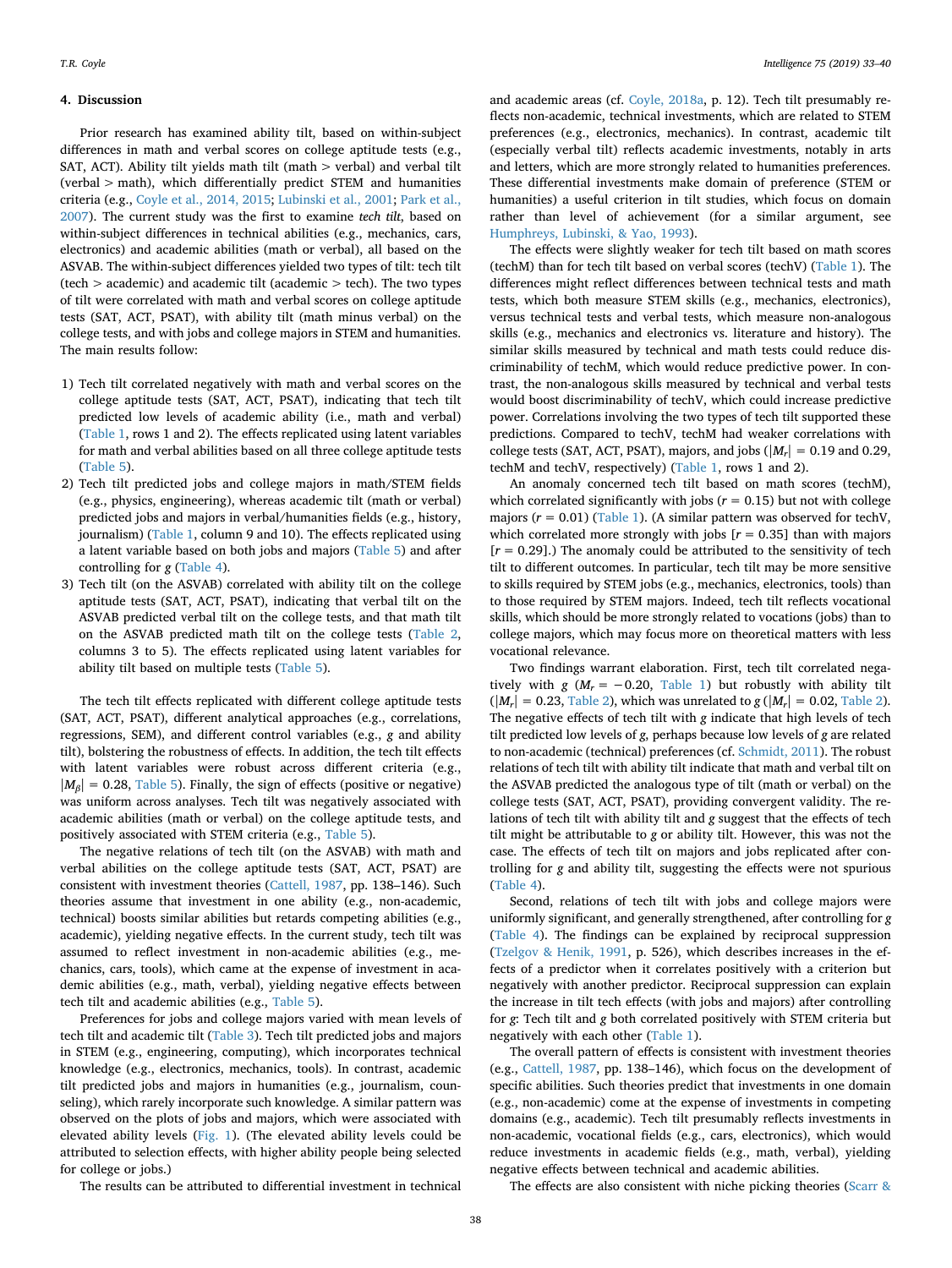### **4. Discussion**

Prior research has examined ability tilt, based on within-subject differences in math and verbal scores on college aptitude tests (e.g., SAT, ACT). Ability tilt yields math tilt (math > verbal) and verbal tilt (verbal > math), which differentially predict STEM and humanities criteria (e.g., [Coyle et al., 2014, 2015;](#page-7-3) [Lubinski et al., 2001](#page-7-5); [Park et al.,](#page-7-6) [2007\)](#page-7-6). The current study was the first to examine *tech tilt*, based on within-subject differences in technical abilities (e.g., mechanics, cars, electronics) and academic abilities (math or verbal), all based on the ASVAB. The within-subject differences yielded two types of tilt: tech tilt  $(\text{tech} > \text{academic})$  and academic tilt (academic  $> \text{tech}$ ). The two types of tilt were correlated with math and verbal scores on college aptitude tests (SAT, ACT, PSAT), with ability tilt (math minus verbal) on the college tests, and with jobs and college majors in STEM and humanities. The main results follow:

- 1) Tech tilt correlated negatively with math and verbal scores on the college aptitude tests (SAT, ACT, PSAT), indicating that tech tilt predicted low levels of academic ability (i.e., math and verbal) [\(Table 1,](#page-2-1) rows 1 and 2). The effects replicated using latent variables for math and verbal abilities based on all three college aptitude tests [\(Table 5](#page-4-1)).
- 2) Tech tilt predicted jobs and college majors in math/STEM fields (e.g., physics, engineering), whereas academic tilt (math or verbal) predicted jobs and majors in verbal/humanities fields (e.g., history, journalism) [\(Table 1](#page-2-1), column 9 and 10). The effects replicated using a latent variable based on both jobs and majors ([Table 5](#page-4-1)) and after controlling for *g* [\(Table 4](#page-4-0)).
- 3) Tech tilt (on the ASVAB) correlated with ability tilt on the college aptitude tests (SAT, ACT, PSAT), indicating that verbal tilt on the ASVAB predicted verbal tilt on the college tests, and that math tilt on the ASVAB predicted math tilt on the college tests ([Table 2](#page-3-0), columns 3 to 5). The effects replicated using latent variables for ability tilt based on multiple tests [\(Table 5\)](#page-4-1).

The tech tilt effects replicated with different college aptitude tests (SAT, ACT, PSAT), different analytical approaches (e.g., correlations, regressions, SEM), and different control variables (e.g., *g* and ability tilt), bolstering the robustness of effects. In addition, the tech tilt effects with latent variables were robust across different criteria (e.g.,  $|M_\beta| = 0.28$ , [Table 5](#page-4-1)). Finally, the sign of effects (positive or negative) was uniform across analyses. Tech tilt was negatively associated with academic abilities (math or verbal) on the college aptitude tests, and positively associated with STEM criteria (e.g., [Table 5](#page-4-1)).

The negative relations of tech tilt (on the ASVAB) with math and verbal abilities on the college aptitude tests (SAT, ACT, PSAT) are consistent with investment theories ([Cattell, 1987,](#page-7-14) pp. 138–146). Such theories assume that investment in one ability (e.g., non-academic, technical) boosts similar abilities but retards competing abilities (e.g., academic), yielding negative effects. In the current study, tech tilt was assumed to reflect investment in non-academic abilities (e.g., mechanics, cars, tools), which came at the expense of investment in academic abilities (e.g., math, verbal), yielding negative effects between tech tilt and academic abilities (e.g., [Table 5](#page-4-1)).

Preferences for jobs and college majors varied with mean levels of tech tilt and academic tilt ([Table 3](#page-3-1)). Tech tilt predicted jobs and majors in STEM (e.g., engineering, computing), which incorporates technical knowledge (e.g., electronics, mechanics, tools). In contrast, academic tilt predicted jobs and majors in humanities (e.g., journalism, counseling), which rarely incorporate such knowledge. A similar pattern was observed on the plots of jobs and majors, which were associated with elevated ability levels ([Fig. 1](#page-3-2)). (The elevated ability levels could be attributed to selection effects, with higher ability people being selected for college or jobs.)

and academic areas (cf. [Coyle, 2018a](#page-7-26), p. 12). Tech tilt presumably reflects non-academic, technical investments, which are related to STEM preferences (e.g., electronics, mechanics). In contrast, academic tilt (especially verbal tilt) reflects academic investments, notably in arts and letters, which are more strongly related to humanities preferences. These differential investments make domain of preference (STEM or humanities) a useful criterion in tilt studies, which focus on domain rather than level of achievement (for a similar argument, see [Humphreys, Lubinski, & Yao, 1993](#page-7-27)).

The effects were slightly weaker for tech tilt based on math scores (techM) than for tech tilt based on verbal scores (techV) [\(Table 1\)](#page-2-1). The differences might reflect differences between technical tests and math tests, which both measure STEM skills (e.g., mechanics, electronics), versus technical tests and verbal tests, which measure non-analogous skills (e.g., mechanics and electronics vs. literature and history). The similar skills measured by technical and math tests could reduce discriminability of techM, which would reduce predictive power. In contrast, the non-analogous skills measured by technical and verbal tests would boost discriminability of techV, which could increase predictive power. Correlations involving the two types of tech tilt supported these predictions. Compared to techV, techM had weaker correlations with college tests (SAT, ACT, PSAT), majors, and jobs ( $|M_r| = 0.19$  and 0.29, techM and techV, respectively) ([Table 1](#page-2-1), rows 1 and 2).

An anomaly concerned tech tilt based on math scores (techM), which correlated significantly with jobs ( $r = 0.15$ ) but not with college majors  $(r = 0.01)$  ([Table 1](#page-2-1)). (A similar pattern was observed for techV, which correlated more strongly with jobs  $[r = 0.35]$  than with majors [*r* = 0.29].) The anomaly could be attributed to the sensitivity of tech tilt to different outcomes. In particular, tech tilt may be more sensitive to skills required by STEM jobs (e.g., mechanics, electronics, tools) than to those required by STEM majors. Indeed, tech tilt reflects vocational skills, which should be more strongly related to vocations (jobs) than to college majors, which may focus more on theoretical matters with less vocational relevance.

Two findings warrant elaboration. First, tech tilt correlated negatively with *g* ( $M_r = -0.20$ , [Table 1](#page-2-1)) but robustly with ability tilt  $(|M_r| = 0.23$ , [Table 2](#page-3-0)), which was unrelated to *g* ( $|M_r| = 0.02$ , Table 2). The negative effects of tech tilt with *g* indicate that high levels of tech tilt predicted low levels of *g*, perhaps because low levels of *g* are related to non-academic (technical) preferences (cf. [Schmidt, 2011](#page-7-17)). The robust relations of tech tilt with ability tilt indicate that math and verbal tilt on the ASVAB predicted the analogous type of tilt (math or verbal) on the college tests (SAT, ACT, PSAT), providing convergent validity. The relations of tech tilt with ability tilt and *g* suggest that the effects of tech tilt might be attributable to *g* or ability tilt. However, this was not the case. The effects of tech tilt on majors and jobs replicated after controlling for *g* and ability tilt, suggesting the effects were not spurious ([Table 4](#page-4-0)).

Second, relations of tech tilt with jobs and college majors were uniformly significant, and generally strengthened, after controlling for *g* ([Table 4\)](#page-4-0). The findings can be explained by reciprocal suppression ([Tzelgov & Henik, 1991,](#page-7-28) p. 526), which describes increases in the effects of a predictor when it correlates positively with a criterion but negatively with another predictor. Reciprocal suppression can explain the increase in tilt tech effects (with jobs and majors) after controlling for *g*: Tech tilt and *g* both correlated positively with STEM criteria but negatively with each other ([Table 1](#page-2-1)).

The overall pattern of effects is consistent with investment theories (e.g., [Cattell, 1987](#page-7-14), pp. 138–146), which focus on the development of specific abilities. Such theories predict that investments in one domain (e.g., non-academic) come at the expense of investments in competing domains (e.g., academic). Tech tilt presumably reflects investments in non-academic, vocational fields (e.g., cars, electronics), which would reduce investments in academic fields (e.g., math, verbal), yielding negative effects between technical and academic abilities.

The results can be attributed to differential investment in technical

The effects are also consistent with niche picking theories [\(Scarr &](#page-7-29)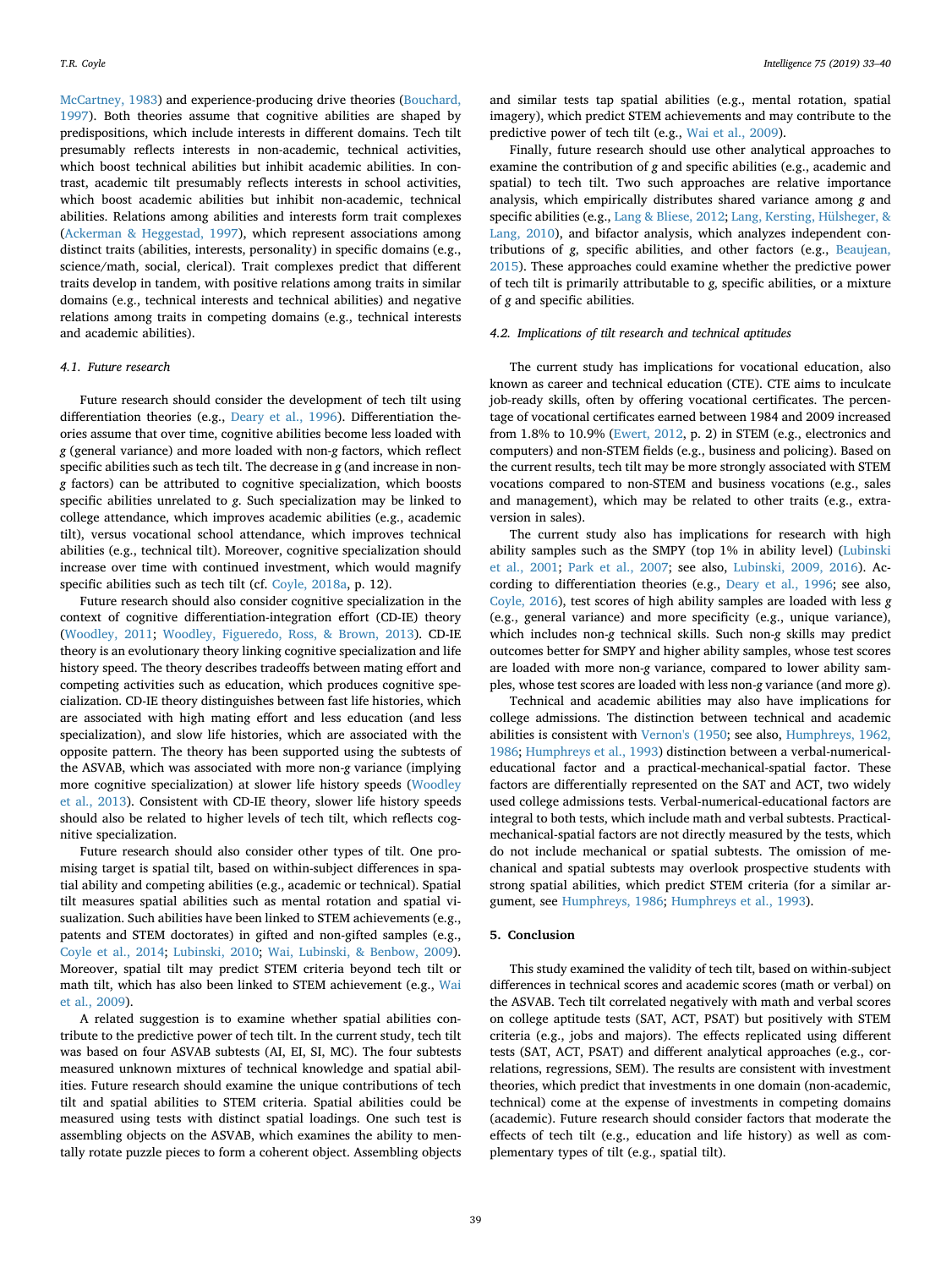[McCartney, 1983\)](#page-7-29) and experience-producing drive theories ([Bouchard,](#page-7-30) [1997\)](#page-7-30). Both theories assume that cognitive abilities are shaped by predispositions, which include interests in different domains. Tech tilt presumably reflects interests in non-academic, technical activities, which boost technical abilities but inhibit academic abilities. In contrast, academic tilt presumably reflects interests in school activities, which boost academic abilities but inhibit non-academic, technical abilities. Relations among abilities and interests form trait complexes ([Ackerman & Heggestad, 1997](#page-7-31)), which represent associations among distinct traits (abilities, interests, personality) in specific domains (e.g., science/math, social, clerical). Trait complexes predict that different traits develop in tandem, with positive relations among traits in similar domains (e.g., technical interests and technical abilities) and negative relations among traits in competing domains (e.g., technical interests and academic abilities).

## *4.1. Future research*

Future research should consider the development of tech tilt using differentiation theories (e.g., [Deary et al., 1996](#page-7-32)). Differentiation theories assume that over time, cognitive abilities become less loaded with *g* (general variance) and more loaded with non-*g* factors, which reflect specific abilities such as tech tilt. The decrease in *g* (and increase in non*g* factors) can be attributed to cognitive specialization, which boosts specific abilities unrelated to *g*. Such specialization may be linked to college attendance, which improves academic abilities (e.g., academic tilt), versus vocational school attendance, which improves technical abilities (e.g., technical tilt). Moreover, cognitive specialization should increase over time with continued investment, which would magnify specific abilities such as tech tilt (cf. [Coyle, 2018a](#page-7-26), p. 12).

Future research should also consider cognitive specialization in the context of cognitive differentiation-integration effort (CD-IE) theory ([Woodley, 2011;](#page-7-33) [Woodley, Figueredo, Ross, & Brown, 2013](#page-7-34)). CD-IE theory is an evolutionary theory linking cognitive specialization and life history speed. The theory describes tradeoffs between mating effort and competing activities such as education, which produces cognitive specialization. CD-IE theory distinguishes between fast life histories, which are associated with high mating effort and less education (and less specialization), and slow life histories, which are associated with the opposite pattern. The theory has been supported using the subtests of the ASVAB, which was associated with more non-*g* variance (implying more cognitive specialization) at slower life history speeds ([Woodley](#page-7-34) [et al., 2013](#page-7-34)). Consistent with CD-IE theory, slower life history speeds should also be related to higher levels of tech tilt, which reflects cognitive specialization.

Future research should also consider other types of tilt. One promising target is spatial tilt, based on within-subject differences in spatial ability and competing abilities (e.g., academic or technical). Spatial tilt measures spatial abilities such as mental rotation and spatial visualization. Such abilities have been linked to STEM achievements (e.g., patents and STEM doctorates) in gifted and non-gifted samples (e.g., [Coyle et al., 2014;](#page-7-3) [Lubinski, 2010](#page-7-35); [Wai, Lubinski, & Benbow, 2009](#page-7-36)). Moreover, spatial tilt may predict STEM criteria beyond tech tilt or math tilt, which has also been linked to STEM achievement (e.g., [Wai](#page-7-36) [et al., 2009](#page-7-36)).

A related suggestion is to examine whether spatial abilities contribute to the predictive power of tech tilt. In the current study, tech tilt was based on four ASVAB subtests (AI, EI, SI, MC). The four subtests measured unknown mixtures of technical knowledge and spatial abilities. Future research should examine the unique contributions of tech tilt and spatial abilities to STEM criteria. Spatial abilities could be measured using tests with distinct spatial loadings. One such test is assembling objects on the ASVAB, which examines the ability to mentally rotate puzzle pieces to form a coherent object. Assembling objects

and similar tests tap spatial abilities (e.g., mental rotation, spatial imagery), which predict STEM achievements and may contribute to the predictive power of tech tilt (e.g., [Wai et al., 2009](#page-7-36)).

Finally, future research should use other analytical approaches to examine the contribution of *g* and specific abilities (e.g., academic and spatial) to tech tilt. Two such approaches are relative importance analysis, which empirically distributes shared variance among *g* and specific abilities (e.g., [Lang & Bliese, 2012;](#page-7-37) [Lang, Kersting, Hülsheger, &](#page-7-38) [Lang, 2010](#page-7-38)), and bifactor analysis, which analyzes independent contributions of *g*, specific abilities, and other factors (e.g., [Beaujean,](#page-7-39) [2015\)](#page-7-39). These approaches could examine whether the predictive power of tech tilt is primarily attributable to *g*, specific abilities, or a mixture of *g* and specific abilities.

## *4.2. Implications of tilt research and technical aptitudes*

The current study has implications for vocational education, also known as career and technical education (CTE). CTE aims to inculcate job-ready skills, often by offering vocational certificates. The percentage of vocational certificates earned between 1984 and 2009 increased from 1.8% to 10.9% [\(Ewert, 2012](#page-7-40), p. 2) in STEM (e.g., electronics and computers) and non-STEM fields (e.g., business and policing). Based on the current results, tech tilt may be more strongly associated with STEM vocations compared to non-STEM and business vocations (e.g., sales and management), which may be related to other traits (e.g., extraversion in sales).

The current study also has implications for research with high ability samples such as the SMPY (top 1% in ability level) ([Lubinski](#page-7-5) [et al., 2001;](#page-7-5) [Park et al., 2007](#page-7-6); see also, [Lubinski, 2009, 2016](#page-7-8)). According to differentiation theories (e.g., [Deary et al., 1996](#page-7-32); see also, [Coyle, 2016](#page-7-2)), test scores of high ability samples are loaded with less *g* (e.g., general variance) and more specificity (e.g., unique variance), which includes non-*g* technical skills. Such non-*g* skills may predict outcomes better for SMPY and higher ability samples, whose test scores are loaded with more non-*g* variance, compared to lower ability samples, whose test scores are loaded with less non-*g* variance (and more *g*).

Technical and academic abilities may also have implications for college admissions. The distinction between technical and academic abilities is consistent with [Vernon's \(1950](#page-7-41); see also, [Humphreys, 1962,](#page-7-42) [1986;](#page-7-42) [Humphreys et al., 1993\)](#page-7-27) distinction between a verbal-numericaleducational factor and a practical-mechanical-spatial factor. These factors are differentially represented on the SAT and ACT, two widely used college admissions tests. Verbal-numerical-educational factors are integral to both tests, which include math and verbal subtests. Practicalmechanical-spatial factors are not directly measured by the tests, which do not include mechanical or spatial subtests. The omission of mechanical and spatial subtests may overlook prospective students with strong spatial abilities, which predict STEM criteria (for a similar argument, see [Humphreys, 1986](#page-7-43); [Humphreys et al., 1993](#page-7-27)).

## **5. Conclusion**

This study examined the validity of tech tilt, based on within-subject differences in technical scores and academic scores (math or verbal) on the ASVAB. Tech tilt correlated negatively with math and verbal scores on college aptitude tests (SAT, ACT, PSAT) but positively with STEM criteria (e.g., jobs and majors). The effects replicated using different tests (SAT, ACT, PSAT) and different analytical approaches (e.g., correlations, regressions, SEM). The results are consistent with investment theories, which predict that investments in one domain (non-academic, technical) come at the expense of investments in competing domains (academic). Future research should consider factors that moderate the effects of tech tilt (e.g., education and life history) as well as complementary types of tilt (e.g., spatial tilt).